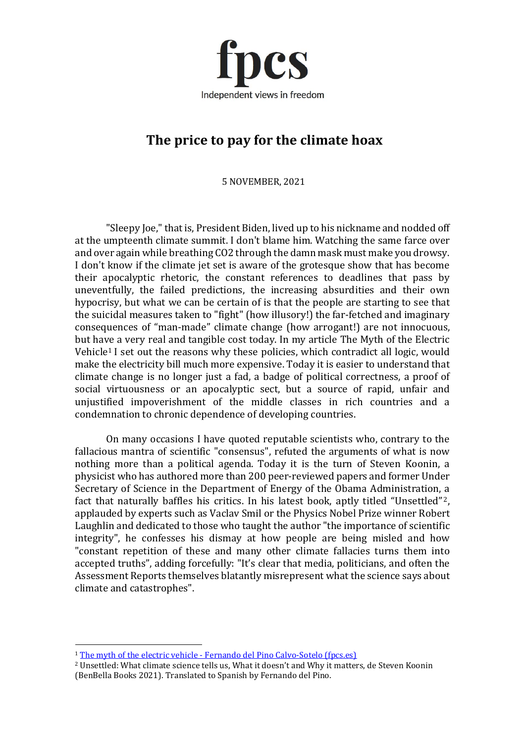

## **The price to pay for the climate hoax**

5 NOVEMBER, 2021

"Sleepy Joe," that is, President Biden, lived up to his nickname and nodded off at the umpteenth climate summit. I don't blame him. Watching the same farce over and over again while breathing CO2 through the damn mask must make you drowsy. I don't know if the climate jet set is aware of the grotesque show that has become their apocalyptic rhetoric, the constant references to deadlines that pass by uneventfully, the failed predictions, the increasing absurdities and their own hypocrisy, but what we can be certain of is that the people are starting to see that the suicidal measures taken to "fight" (how illusory!) the far-fetched and imaginary consequences of "man-made" climate change (how arrogant!) are not innocuous, but have a very real and tangible cost today. In my article The Myth of the Electric Vehicle<sup>1</sup> I set out the reasons why these policies, which contradict all logic, would make the electricity bill much more expensive. Today it is easier to understand that climate change is no longer just a fad, a badge of political correctness, a proof of social virtuousness or an apocalyptic sect, but a source of rapid, unfair and unjustified impoverishment of the middle classes in rich countries and a condemnation to chronic dependence of developing countries.

On many occasions I have quoted reputable scientists who, contrary to the fallacious mantra of scientific "consensus", refuted the arguments of what is now nothing more than a political agenda. Today it is the turn of Steven Koonin, a physicist who has authored more than 200 peer-reviewed papers and former Under Secretary of Science in the Department of Energy of the Obama Administration, a fact that naturally baffles his critics. In his latest book, aptly titled "Unsettled" 2, applauded by experts such as Vaclav Smil or the Physics Nobel Prize winner Robert Laughlin and dedicated to those who taught the author "the importance of scientific integrity", he confesses his dismay at how people are being misled and how "constant repetition of these and many other climate fallacies turns them into accepted truths", adding forcefully: "It's clear that media, politicians, and often the Assessment Reports themselves blatantly misrepresent what the science says about climate and catastrophes".

<sup>1</sup> The myth of the electric vehicle - [Fernando del Pino Calvo-Sotelo \(fpcs.es\)](https://www.fpcs.es/en/the-myth-of-electric-vehicles/)

<sup>2</sup> Unsettled: What climate science tells us, What it doesn't and Why it matters, de Steven Koonin (BenBella Books 2021). Translated to Spanish by Fernando del Pino.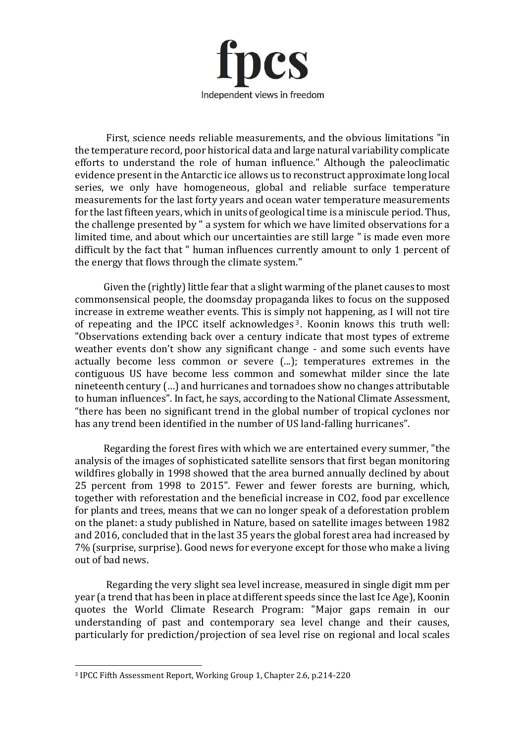

First, science needs reliable measurements, and the obvious limitations "in the temperature record, poor historical data and large natural variability complicate efforts to understand the role of human influence." Although the paleoclimatic evidence present in the Antarctic ice allows us to reconstruct approximate long local series, we only have homogeneous, global and reliable surface temperature measurements for the last forty years and ocean water temperature measurements for the last fifteen years, which in units of geological time is a miniscule period. Thus, the challenge presented by " a system for which we have limited observations for a limited time, and about which our uncertainties are still large " is made even more difficult by the fact that " human influences currently amount to only 1 percent of the energy that flows through the climate system."

Given the (rightly) little fear that a slight warming of the planet causes to most commonsensical people, the doomsday propaganda likes to focus on the supposed increase in extreme weather events. This is simply not happening, as I will not tire of repeating and the IPCC itself acknowledges <sup>3</sup> . Koonin knows this truth well: "Observations extending back over a century indicate that most types of extreme weather events don't show any significant change - and some such events have actually become less common or severe (...); temperatures extremes in the contiguous US have become less common and somewhat milder since the late nineteenth century (…) and hurricanes and tornadoes show no changes attributable to human influences". In fact, he says, according to the National Climate Assessment, "there has been no significant trend in the global number of tropical cyclones nor has any trend been identified in the number of US land-falling hurricanes".

Regarding the forest fires with which we are entertained every summer, "the analysis of the images of sophisticated satellite sensors that first began monitoring wildfires globally in 1998 showed that the area burned annually declined by about 25 percent from 1998 to 2015". Fewer and fewer forests are burning, which, together with reforestation and the beneficial increase in CO2, food par excellence for plants and trees, means that we can no longer speak of a deforestation problem on the planet: a study published in Nature, based on satellite images between 1982 and 2016, concluded that in the last 35 years the global forest area had increased by 7% (surprise, surprise). Good news for everyone except for those who make a living out of bad news.

Regarding the very slight sea level increase, measured in single digit mm per year (a trend that has been in place at different speeds since the last Ice Age), Koonin quotes the World Climate Research Program: "Major gaps remain in our understanding of past and contemporary sea level change and their causes, particularly for prediction/projection of sea level rise on regional and local scales

<sup>3</sup> IPCC Fifth Assessment Report, Working Group 1, Chapter 2.6, p.214-220